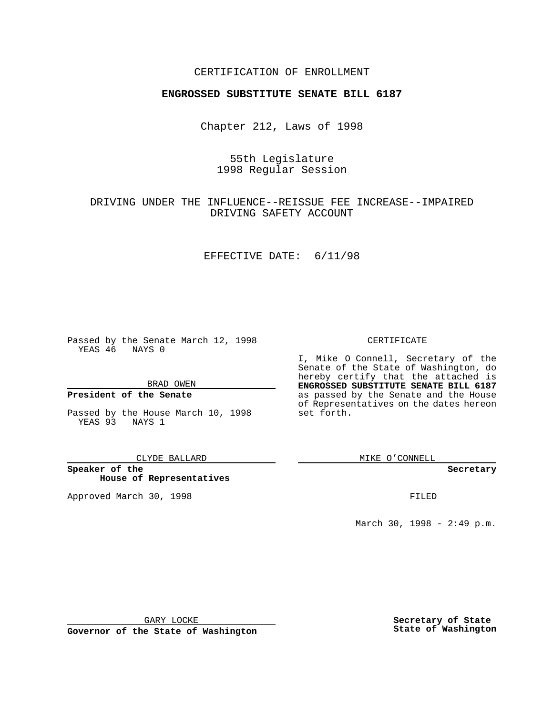### CERTIFICATION OF ENROLLMENT

# **ENGROSSED SUBSTITUTE SENATE BILL 6187**

Chapter 212, Laws of 1998

# 55th Legislature 1998 Regular Session

# DRIVING UNDER THE INFLUENCE--REISSUE FEE INCREASE--IMPAIRED DRIVING SAFETY ACCOUNT

#### EFFECTIVE DATE: 6/11/98

Passed by the Senate March 12, 1998 YEAS 46 NAYS 0

BRAD OWEN

### **President of the Senate**

Passed by the House March 10, 1998 YEAS 93 NAYS 1

CLYDE BALLARD

**Speaker of the House of Representatives**

Approved March 30, 1998 **FILED** 

### CERTIFICATE

I, Mike O Connell, Secretary of the Senate of the State of Washington, do hereby certify that the attached is **ENGROSSED SUBSTITUTE SENATE BILL 6187** as passed by the Senate and the House of Representatives on the dates hereon set forth.

MIKE O'CONNELL

**Secretary**

March 30, 1998 - 2:49 p.m.

GARY LOCKE

**Governor of the State of Washington**

**Secretary of State State of Washington**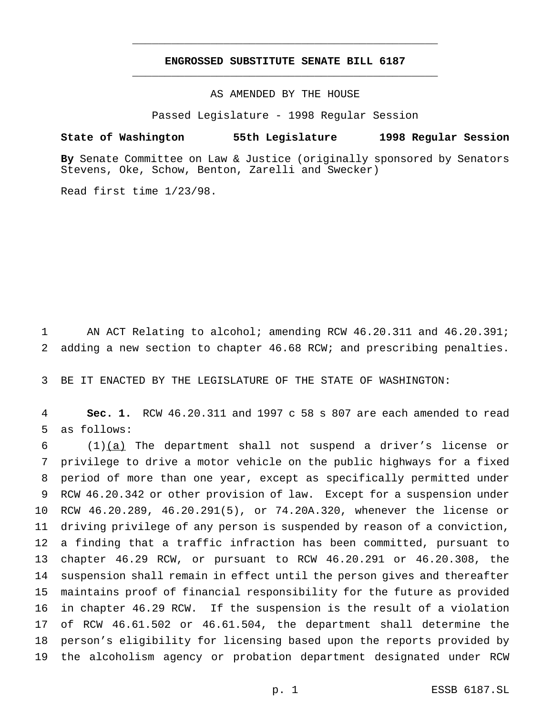## **ENGROSSED SUBSTITUTE SENATE BILL 6187** \_\_\_\_\_\_\_\_\_\_\_\_\_\_\_\_\_\_\_\_\_\_\_\_\_\_\_\_\_\_\_\_\_\_\_\_\_\_\_\_\_\_\_\_\_\_\_

\_\_\_\_\_\_\_\_\_\_\_\_\_\_\_\_\_\_\_\_\_\_\_\_\_\_\_\_\_\_\_\_\_\_\_\_\_\_\_\_\_\_\_\_\_\_\_

AS AMENDED BY THE HOUSE

Passed Legislature - 1998 Regular Session

## **State of Washington 55th Legislature 1998 Regular Session**

**By** Senate Committee on Law & Justice (originally sponsored by Senators Stevens, Oke, Schow, Benton, Zarelli and Swecker)

Read first time 1/23/98.

1 AN ACT Relating to alcohol; amending RCW 46.20.311 and 46.20.391; adding a new section to chapter 46.68 RCW; and prescribing penalties.

BE IT ENACTED BY THE LEGISLATURE OF THE STATE OF WASHINGTON:

 **Sec. 1.** RCW 46.20.311 and 1997 c 58 s 807 are each amended to read as follows:

 $(1)(a)$  The department shall not suspend a driver's license or privilege to drive a motor vehicle on the public highways for a fixed period of more than one year, except as specifically permitted under RCW 46.20.342 or other provision of law. Except for a suspension under RCW 46.20.289, 46.20.291(5), or 74.20A.320, whenever the license or driving privilege of any person is suspended by reason of a conviction, a finding that a traffic infraction has been committed, pursuant to chapter 46.29 RCW, or pursuant to RCW 46.20.291 or 46.20.308, the suspension shall remain in effect until the person gives and thereafter maintains proof of financial responsibility for the future as provided in chapter 46.29 RCW. If the suspension is the result of a violation of RCW 46.61.502 or 46.61.504, the department shall determine the person's eligibility for licensing based upon the reports provided by the alcoholism agency or probation department designated under RCW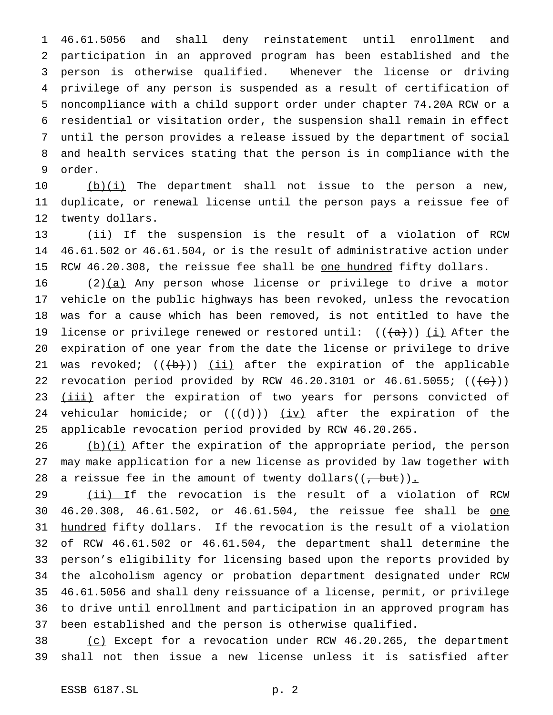46.61.5056 and shall deny reinstatement until enrollment and participation in an approved program has been established and the person is otherwise qualified. Whenever the license or driving privilege of any person is suspended as a result of certification of noncompliance with a child support order under chapter 74.20A RCW or a residential or visitation order, the suspension shall remain in effect until the person provides a release issued by the department of social and health services stating that the person is in compliance with the order.

 $(b)(i)$  The department shall not issue to the person a new, duplicate, or renewal license until the person pays a reissue fee of twenty dollars.

 (ii) If the suspension is the result of a violation of RCW 46.61.502 or 46.61.504, or is the result of administrative action under 15 RCW 46.20.308, the reissue fee shall be one hundred fifty dollars.

16 (2)(a) Any person whose license or privilege to drive a motor vehicle on the public highways has been revoked, unless the revocation was for a cause which has been removed, is not entitled to have the 19 license or privilege renewed or restored until:  $((a+))$  (i) After the expiration of one year from the date the license or privilege to drive 21 was revoked;  $((+b))$  (ii) after the expiration of the applicable 22 revocation period provided by RCW 46.20.3101 or 46.61.5055;  $((\{e\})$ 23 (iii) after the expiration of two years for persons convicted of 24 vehicular homicide; or  $((\langle d \rangle))$  (iv) after the expiration of the applicable revocation period provided by RCW 46.20.265.

 (b)(i) After the expiration of the appropriate period, the person may make application for a new license as provided by law together with 28 a reissue fee in the amount of twenty dollars( $(\frac{1}{2}$  but)).

29 (ii) If the revocation is the result of a violation of RCW 30 46.20.308, 46.61.502, or 46.61.504, the reissue fee shall be one hundred fifty dollars. If the revocation is the result of a violation of RCW 46.61.502 or 46.61.504, the department shall determine the person's eligibility for licensing based upon the reports provided by the alcoholism agency or probation department designated under RCW 46.61.5056 and shall deny reissuance of a license, permit, or privilege to drive until enrollment and participation in an approved program has been established and the person is otherwise qualified.

 (c) Except for a revocation under RCW 46.20.265, the department shall not then issue a new license unless it is satisfied after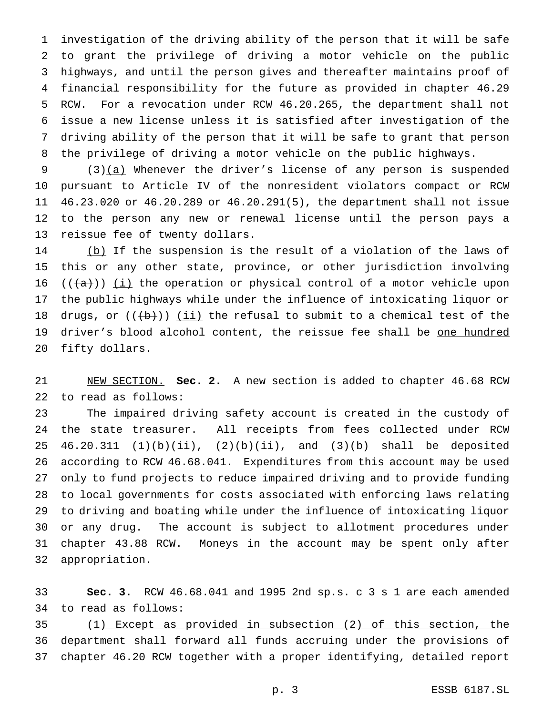investigation of the driving ability of the person that it will be safe to grant the privilege of driving a motor vehicle on the public highways, and until the person gives and thereafter maintains proof of financial responsibility for the future as provided in chapter 46.29 RCW. For a revocation under RCW 46.20.265, the department shall not issue a new license unless it is satisfied after investigation of the driving ability of the person that it will be safe to grant that person the privilege of driving a motor vehicle on the public highways.

9 (3)(a) Whenever the driver's license of any person is suspended pursuant to Article IV of the nonresident violators compact or RCW 46.23.020 or 46.20.289 or 46.20.291(5), the department shall not issue to the person any new or renewal license until the person pays a reissue fee of twenty dollars.

14 (b) If the suspension is the result of a violation of the laws of this or any other state, province, or other jurisdiction involving 16 ( $(\overline{a})$ ) (i) the operation or physical control of a motor vehicle upon the public highways while under the influence of intoxicating liquor or 18 drugs, or  $((+b))$  <u>(ii)</u> the refusal to submit to a chemical test of the 19 driver's blood alcohol content, the reissue fee shall be one hundred fifty dollars.

 NEW SECTION. **Sec. 2.** A new section is added to chapter 46.68 RCW to read as follows:

 The impaired driving safety account is created in the custody of the state treasurer. All receipts from fees collected under RCW 46.20.311 (1)(b)(ii), (2)(b)(ii), and (3)(b) shall be deposited according to RCW 46.68.041. Expenditures from this account may be used only to fund projects to reduce impaired driving and to provide funding to local governments for costs associated with enforcing laws relating to driving and boating while under the influence of intoxicating liquor or any drug. The account is subject to allotment procedures under chapter 43.88 RCW. Moneys in the account may be spent only after appropriation.

 **Sec. 3.** RCW 46.68.041 and 1995 2nd sp.s. c 3 s 1 are each amended to read as follows:

 (1) Except as provided in subsection (2) of this section, the department shall forward all funds accruing under the provisions of chapter 46.20 RCW together with a proper identifying, detailed report